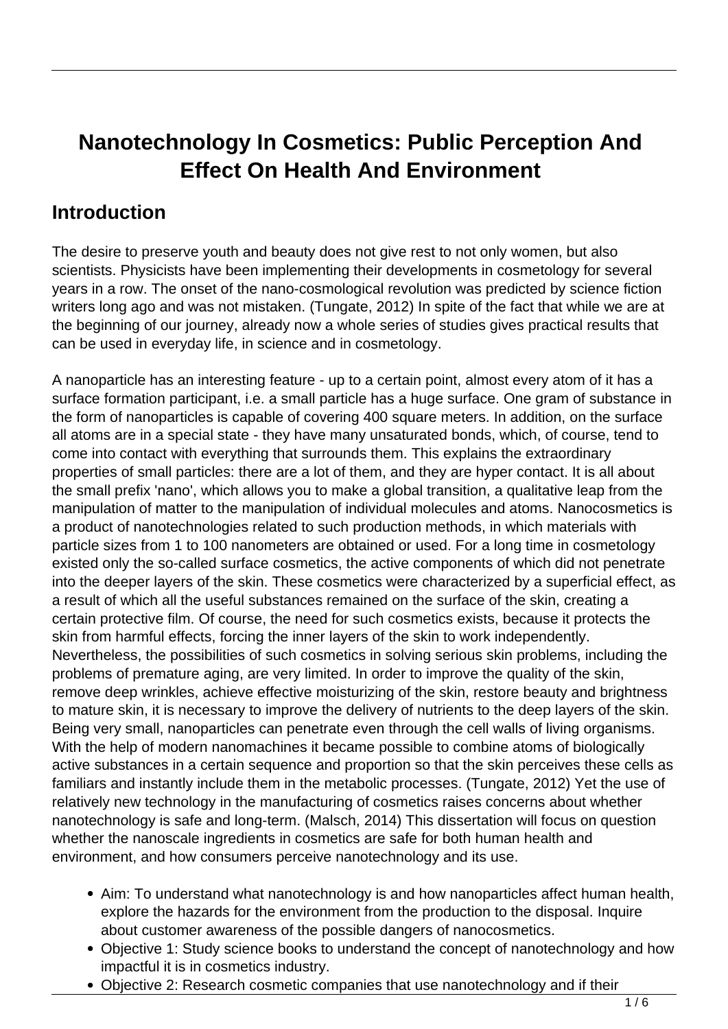# **Nanotechnology In Cosmetics: Public Perception And Effect On Health And Environment**

#### **Introduction**

The desire to preserve youth and beauty does not give rest to not only women, but also scientists. Physicists have been implementing their developments in cosmetology for several years in a row. The onset of the nano-cosmological revolution was predicted by science fiction writers long ago and was not mistaken. (Tungate, 2012) In spite of the fact that while we are at the beginning of our journey, already now a whole series of studies gives practical results that can be used in everyday life, in science and in cosmetology.

A nanoparticle has an interesting feature - up to a certain point, almost every atom of it has a surface formation participant, i.e. a small particle has a huge surface. One gram of substance in the form of nanoparticles is capable of covering 400 square meters. In addition, on the surface all atoms are in a special state - they have many unsaturated bonds, which, of course, tend to come into contact with everything that surrounds them. This explains the extraordinary properties of small particles: there are a lot of them, and they are hyper contact. It is all about the small prefix 'nano', which allows you to make a global transition, a qualitative leap from the manipulation of matter to the manipulation of individual molecules and atoms. Nanocosmetics is a product of nanotechnologies related to such production methods, in which materials with particle sizes from 1 to 100 nanometers are obtained or used. For a long time in cosmetology existed only the so-called surface cosmetics, the active components of which did not penetrate into the deeper layers of the skin. These cosmetics were characterized by a superficial effect, as a result of which all the useful substances remained on the surface of the skin, creating a certain protective film. Of course, the need for such cosmetics exists, because it protects the skin from harmful effects, forcing the inner layers of the skin to work independently. Nevertheless, the possibilities of such cosmetics in solving serious skin problems, including the problems of premature aging, are very limited. In order to improve the quality of the skin, remove deep wrinkles, achieve effective moisturizing of the skin, restore beauty and brightness to mature skin, it is necessary to improve the delivery of nutrients to the deep layers of the skin. Being very small, nanoparticles can penetrate even through the cell walls of living organisms. With the help of modern nanomachines it became possible to combine atoms of biologically active substances in a certain sequence and proportion so that the skin perceives these cells as familiars and instantly include them in the metabolic processes. (Tungate, 2012) Yet the use of relatively new technology in the manufacturing of cosmetics raises concerns about whether nanotechnology is safe and long-term. (Malsch, 2014) This dissertation will focus on question whether the nanoscale ingredients in cosmetics are safe for both human health and environment, and how consumers perceive nanotechnology and its use.

- Aim: To understand what nanotechnology is and how nanoparticles affect human health, explore the hazards for the environment from the production to the disposal. Inquire about customer awareness of the possible dangers of nanocosmetics.
- Objective 1: Study science books to understand the concept of nanotechnology and how impactful it is in cosmetics industry.
- Objective 2: Research cosmetic companies that use nanotechnology and if their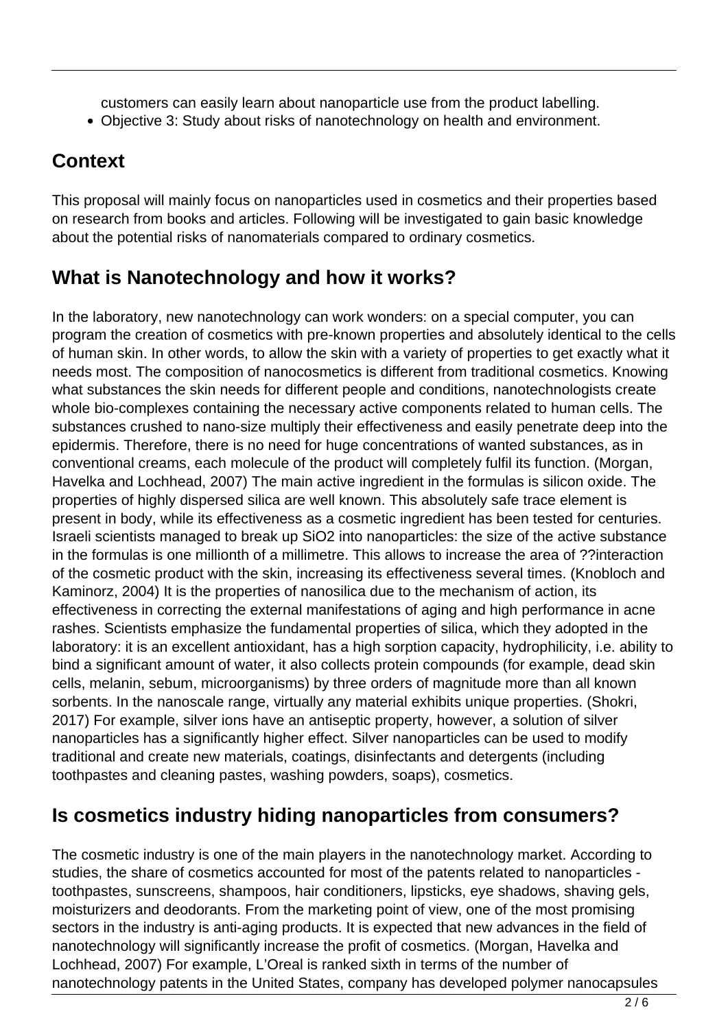customers can easily learn about nanoparticle use from the product labelling.

Objective 3: Study about risks of nanotechnology on health and environment.

## **Context**

This proposal will mainly focus on nanoparticles used in cosmetics and their properties based on research from books and articles. Following will be investigated to gain basic knowledge about the potential risks of nanomaterials compared to ordinary cosmetics.

## **What is Nanotechnology and how it works?**

In the laboratory, new nanotechnology can work wonders: on a special computer, you can program the creation of cosmetics with pre-known properties and absolutely identical to the cells of human skin. In other words, to allow the skin with a variety of properties to get exactly what it needs most. The composition of nanocosmetics is different from traditional cosmetics. Knowing what substances the skin needs for different people and conditions, nanotechnologists create whole bio-complexes containing the necessary active components related to human cells. The substances crushed to nano-size multiply their effectiveness and easily penetrate deep into the epidermis. Therefore, there is no need for huge concentrations of wanted substances, as in conventional creams, each molecule of the product will completely fulfil its function. (Morgan, Havelka and Lochhead, 2007) The main active ingredient in the formulas is silicon oxide. The properties of highly dispersed silica are well known. This absolutely safe trace element is present in body, while its effectiveness as a cosmetic ingredient has been tested for centuries. Israeli scientists managed to break up SiO2 into nanoparticles: the size of the active substance in the formulas is one millionth of a millimetre. This allows to increase the area of ??interaction of the cosmetic product with the skin, increasing its effectiveness several times. (Knobloch and Kaminorz, 2004) It is the properties of nanosilica due to the mechanism of action, its effectiveness in correcting the external manifestations of aging and high performance in acne rashes. Scientists emphasize the fundamental properties of silica, which they adopted in the laboratory: it is an excellent antioxidant, has a high sorption capacity, hydrophilicity, i.e. ability to bind a significant amount of water, it also collects protein compounds (for example, dead skin cells, melanin, sebum, microorganisms) by three orders of magnitude more than all known sorbents. In the nanoscale range, virtually any material exhibits unique properties. (Shokri, 2017) For example, silver ions have an antiseptic property, however, a solution of silver nanoparticles has a significantly higher effect. Silver nanoparticles can be used to modify traditional and create new materials, coatings, disinfectants and detergents (including toothpastes and cleaning pastes, washing powders, soaps), cosmetics.

### **Is cosmetics industry hiding nanoparticles from consumers?**

The cosmetic industry is one of the main players in the nanotechnology market. According to studies, the share of cosmetics accounted for most of the patents related to nanoparticles toothpastes, sunscreens, shampoos, hair conditioners, lipsticks, eye shadows, shaving gels, moisturizers and deodorants. From the marketing point of view, one of the most promising sectors in the industry is anti-aging products. It is expected that new advances in the field of nanotechnology will significantly increase the profit of cosmetics. (Morgan, Havelka and Lochhead, 2007) For example, L'Oreal is ranked sixth in terms of the number of nanotechnology patents in the United States, company has developed polymer nanocapsules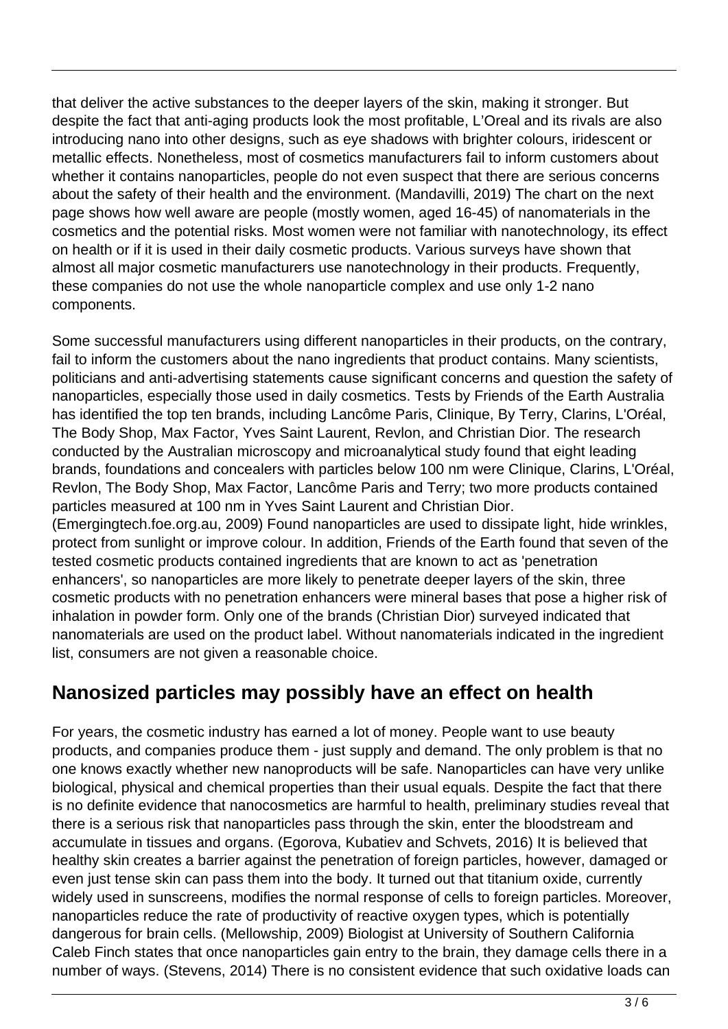that deliver the active substances to the deeper layers of the skin, making it stronger. But despite the fact that anti-aging products look the most profitable, L'Oreal and its rivals are also introducing nano into other designs, such as eye shadows with brighter colours, iridescent or metallic effects. Nonetheless, most of cosmetics manufacturers fail to inform customers about whether it contains nanoparticles, people do not even suspect that there are serious concerns about the safety of their health and the environment. (Mandavilli, 2019) The chart on the next page shows how well aware are people (mostly women, aged 16-45) of nanomaterials in the cosmetics and the potential risks. Most women were not familiar with nanotechnology, its effect on health or if it is used in their daily cosmetic products. Various surveys have shown that almost all major cosmetic manufacturers use nanotechnology in their products. Frequently, these companies do not use the whole nanoparticle complex and use only 1-2 nano components.

Some successful manufacturers using different nanoparticles in their products, on the contrary, fail to inform the customers about the nano ingredients that product contains. Many scientists, politicians and anti-advertising statements cause significant concerns and question the safety of nanoparticles, especially those used in daily cosmetics. Tests by Friends of the Earth Australia has identified the top ten brands, including Lancôme Paris, Clinique, By Terry, Clarins, L'Oréal, The Body Shop, Max Factor, Yves Saint Laurent, Revlon, and Christian Dior. The research conducted by the Australian microscopy and microanalytical study found that eight leading brands, foundations and concealers with particles below 100 nm were Clinique, Clarins, L'Oréal, Revlon, The Body Shop, Max Factor, Lancôme Paris and Terry; two more products contained particles measured at 100 nm in Yves Saint Laurent and Christian Dior. (Emergingtech.foe.org.au, 2009) Found nanoparticles are used to dissipate light, hide wrinkles,

protect from sunlight or improve colour. In addition, Friends of the Earth found that seven of the tested cosmetic products contained ingredients that are known to act as 'penetration enhancers', so nanoparticles are more likely to penetrate deeper layers of the skin, three cosmetic products with no penetration enhancers were mineral bases that pose a higher risk of inhalation in powder form. Only one of the brands (Christian Dior) surveyed indicated that nanomaterials are used on the product label. Without nanomaterials indicated in the ingredient list, consumers are not given a reasonable choice.

### **Nanosized particles may possibly have an effect on health**

For years, the cosmetic industry has earned a lot of money. People want to use beauty products, and companies produce them - just supply and demand. The only problem is that no one knows exactly whether new nanoproducts will be safe. Nanoparticles can have very unlike biological, physical and chemical properties than their usual equals. Despite the fact that there is no definite evidence that nanocosmetics are harmful to health, preliminary studies reveal that there is a serious risk that nanoparticles pass through the skin, enter the bloodstream and accumulate in tissues and organs. (Egorova, Kubatiev and Schvets, 2016) It is believed that healthy skin creates a barrier against the penetration of foreign particles, however, damaged or even just tense skin can pass them into the body. It turned out that titanium oxide, currently widely used in sunscreens, modifies the normal response of cells to foreign particles. Moreover, nanoparticles reduce the rate of productivity of reactive oxygen types, which is potentially dangerous for brain cells. (Mellowship, 2009) Biologist at University of Southern California Caleb Finch states that once nanoparticles gain entry to the brain, they damage cells there in a number of ways. (Stevens, 2014) There is no consistent evidence that such oxidative loads can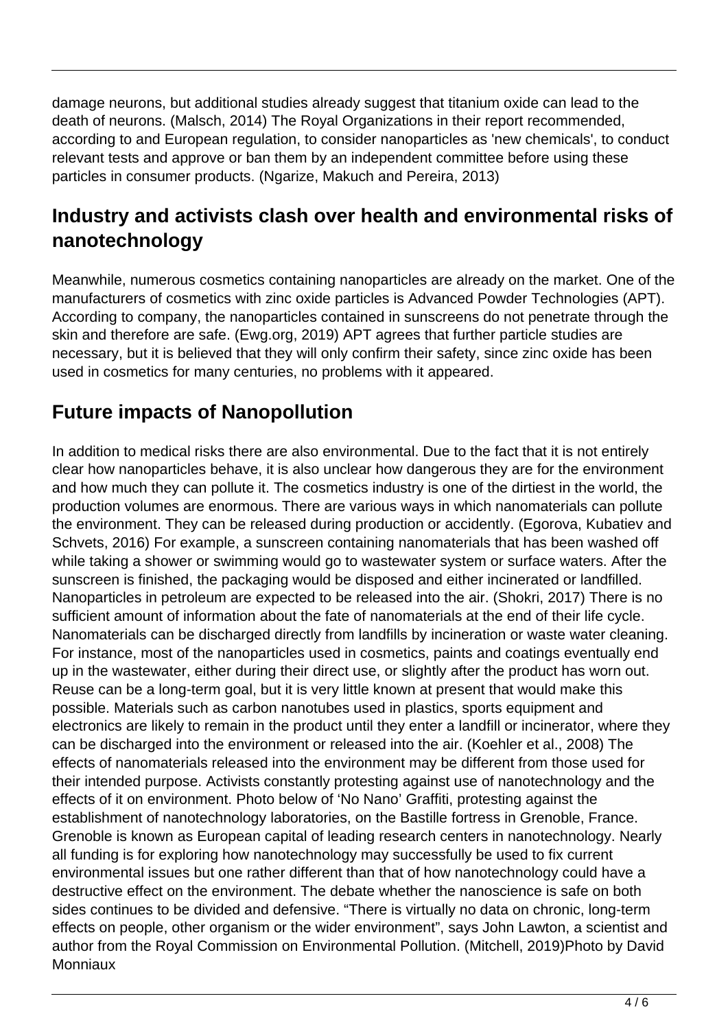damage neurons, but additional studies already suggest that titanium oxide can lead to the death of neurons. (Malsch, 2014) The Royal Organizations in their report recommended, according to and European regulation, to consider nanoparticles as 'new chemicals', to conduct relevant tests and approve or ban them by an independent committee before using these particles in consumer products. (Ngarize, Makuch and Pereira, 2013)

#### **Industry and activists clash over health and environmental risks of nanotechnology**

Meanwhile, numerous cosmetics containing nanoparticles are already on the market. One of the manufacturers of cosmetics with zinc oxide particles is Advanced Powder Technologies (APT). According to company, the nanoparticles contained in sunscreens do not penetrate through the skin and therefore are safe. (Ewg.org, 2019) APT agrees that further particle studies are necessary, but it is believed that they will only confirm their safety, since zinc oxide has been used in cosmetics for many centuries, no problems with it appeared.

### **Future impacts of Nanopollution**

In addition to medical risks there are also environmental. Due to the fact that it is not entirely clear how nanoparticles behave, it is also unclear how dangerous they are for the environment and how much they can pollute it. The cosmetics industry is one of the dirtiest in the world, the production volumes are enormous. There are various ways in which nanomaterials can pollute the environment. They can be released during production or accidently. (Egorova, Kubatiev and Schvets, 2016) For example, a sunscreen containing nanomaterials that has been washed off while taking a shower or swimming would go to wastewater system or surface waters. After the sunscreen is finished, the packaging would be disposed and either incinerated or landfilled. Nanoparticles in petroleum are expected to be released into the air. (Shokri, 2017) There is no sufficient amount of information about the fate of nanomaterials at the end of their life cycle. Nanomaterials can be discharged directly from landfills by incineration or waste water cleaning. For instance, most of the nanoparticles used in cosmetics, paints and coatings eventually end up in the wastewater, either during their direct use, or slightly after the product has worn out. Reuse can be a long-term goal, but it is very little known at present that would make this possible. Materials such as carbon nanotubes used in plastics, sports equipment and electronics are likely to remain in the product until they enter a landfill or incinerator, where they can be discharged into the environment or released into the air. (Koehler et al., 2008) The effects of nanomaterials released into the environment may be different from those used for their intended purpose. Activists constantly protesting against use of nanotechnology and the effects of it on environment. Photo below of 'No Nano' Graffiti, protesting against the establishment of nanotechnology laboratories, on the Bastille fortress in Grenoble, France. Grenoble is known as European capital of leading research centers in nanotechnology. Nearly all funding is for exploring how nanotechnology may successfully be used to fix current environmental issues but one rather different than that of how nanotechnology could have a destructive effect on the environment. The debate whether the nanoscience is safe on both sides continues to be divided and defensive. "There is virtually no data on chronic, long-term effects on people, other organism or the wider environment", says John Lawton, a scientist and author from the Royal Commission on Environmental Pollution. (Mitchell, 2019)Photo by David **Monniaux**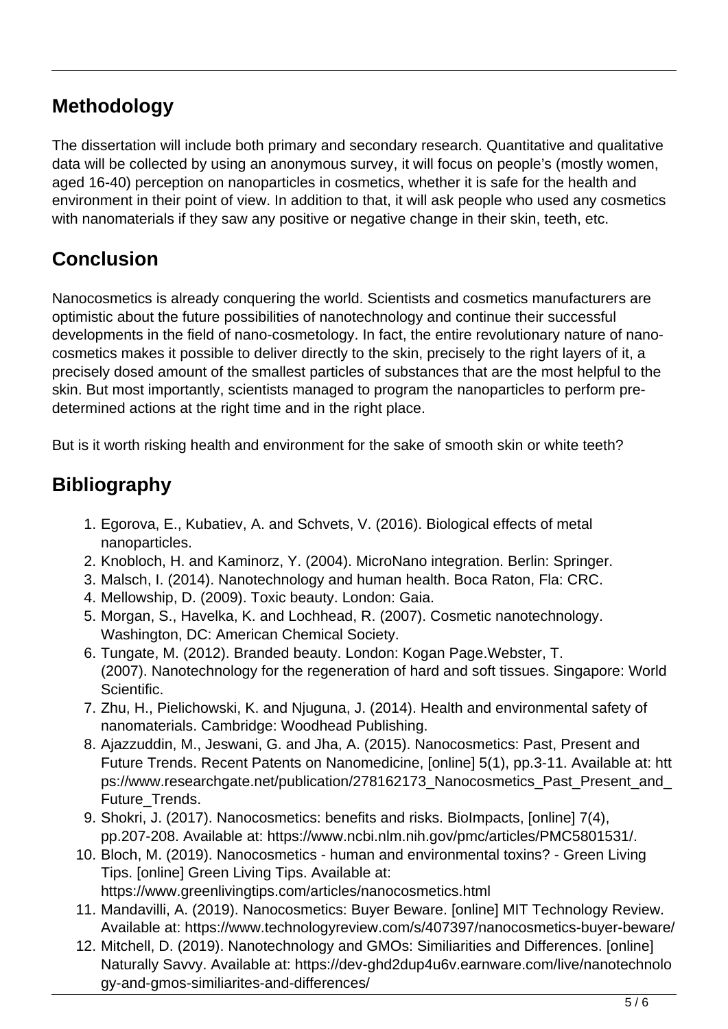### **Methodology**

The dissertation will include both primary and secondary research. Quantitative and qualitative data will be collected by using an anonymous survey, it will focus on people's (mostly women, aged 16-40) perception on nanoparticles in cosmetics, whether it is safe for the health and environment in their point of view. In addition to that, it will ask people who used any cosmetics with nanomaterials if they saw any positive or negative change in their skin, teeth, etc.

## **Conclusion**

Nanocosmetics is already conquering the world. Scientists and cosmetics manufacturers are optimistic about the future possibilities of nanotechnology and continue their successful developments in the field of nano-cosmetology. In fact, the entire revolutionary nature of nanocosmetics makes it possible to deliver directly to the skin, precisely to the right layers of it, a precisely dosed amount of the smallest particles of substances that are the most helpful to the skin. But most importantly, scientists managed to program the nanoparticles to perform predetermined actions at the right time and in the right place.

But is it worth risking health and environment for the sake of smooth skin or white teeth?

## **Bibliography**

- 1. Egorova, E., Kubatiev, A. and Schvets, V. (2016). Biological effects of metal nanoparticles.
- 2. Knobloch, H. and Kaminorz, Y. (2004). MicroNano integration. Berlin: Springer.
- 3. Malsch, I. (2014). Nanotechnology and human health. Boca Raton, Fla: CRC.
- 4. Mellowship, D. (2009). Toxic beauty. London: Gaia.
- 5. Morgan, S., Havelka, K. and Lochhead, R. (2007). Cosmetic nanotechnology. Washington, DC: American Chemical Society.
- 6. Tungate, M. (2012). Branded beauty. London: Kogan Page.Webster, T. (2007). Nanotechnology for the regeneration of hard and soft tissues. Singapore: World Scientific.
- 7. Zhu, H., Pielichowski, K. and Njuguna, J. (2014). Health and environmental safety of nanomaterials. Cambridge: Woodhead Publishing.
- 8. Ajazzuddin, M., Jeswani, G. and Jha, A. (2015). Nanocosmetics: Past, Present and Future Trends. Recent Patents on Nanomedicine, [online] 5(1), pp.3-11. Available at: htt ps://www.researchgate.net/publication/278162173\_Nanocosmetics\_Past\_Present\_and\_ Future\_Trends.
- 9. Shokri, J. (2017). Nanocosmetics: benefits and risks. BioImpacts, [online] 7(4), pp.207-208. Available at: https://www.ncbi.nlm.nih.gov/pmc/articles/PMC5801531/.
- 10. Bloch, M. (2019). Nanocosmetics human and environmental toxins? Green Living Tips. [online] Green Living Tips. Available at: https://www.greenlivingtips.com/articles/nanocosmetics.html
- 11. Mandavilli, A. (2019). Nanocosmetics: Buyer Beware. [online] MIT Technology Review. Available at: https://www.technologyreview.com/s/407397/nanocosmetics-buyer-beware/
- 12. Mitchell, D. (2019). Nanotechnology and GMOs: Similiarities and Differences. [online] Naturally Savvy. Available at: https://dev-ghd2dup4u6v.earnware.com/live/nanotechnolo gy-and-gmos-similiarites-and-differences/